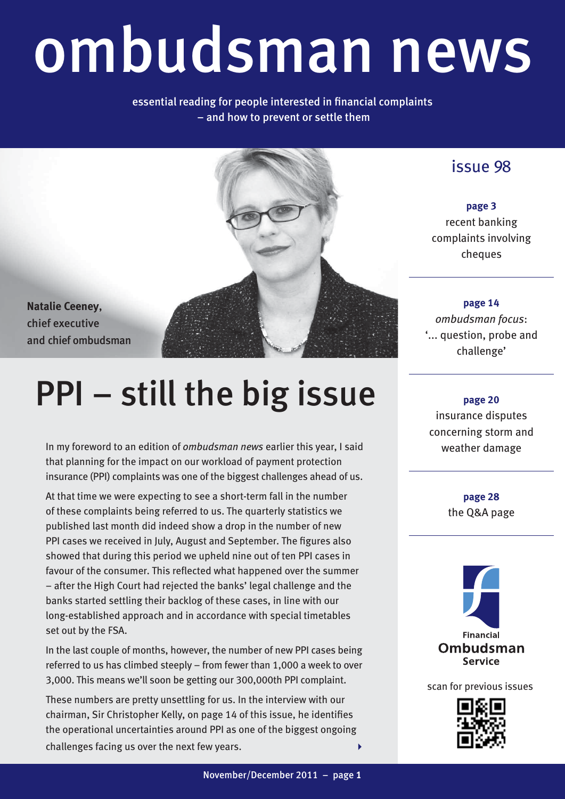## ombudsman news

essential reading for people interested in financial complaints – and how to prevent or settle them



**Natalie Ceeney**, chief executive and chief ombudsman

### PPI – still the big issue

In my foreword to an edition of *ombudsman news* earlier this year, I said that planning for the impact on our workload of payment protection insurance (PPI) complaints was one of the biggest challenges ahead of us.

At that time we were expecting to see a short-term fall in the number of these complaints being referred to us. The quarterly statistics we published last month did indeed show a drop in the number of new PPI cases we received in July, August and September. The figures also showed that during this period we upheld nine out of ten PPI cases in favour of the consumer. This reflected what happened over the summer – after the High Court had rejected the banks' legal challenge and the banks started settling their backlog of these cases, in line with our long-established approach and in accordance with special timetables set out by the FSA.

In the last couple of months, however, the number of new PPI cases being referred to us has climbed steeply – from fewer than 1,000 a week to over 3,000. This means we'll soon be getting our 300,000th PPI complaint.

These numbers are pretty unsettling for us. In the interview with our chairman, Sir Christopher Kelly, on page 14 of this issue, he identifies the operational uncertainties around PPI as one of the biggest ongoing challenges facing us over the next few years.

issue 98

**page 3** recent banking complaints involving cheques

**page 14** *ombudsman focus*: '... question, probe and challenge'

**page 20** insurance disputes concerning storm and weather damage

> **page 28** the Q&A page



scan for previous issues

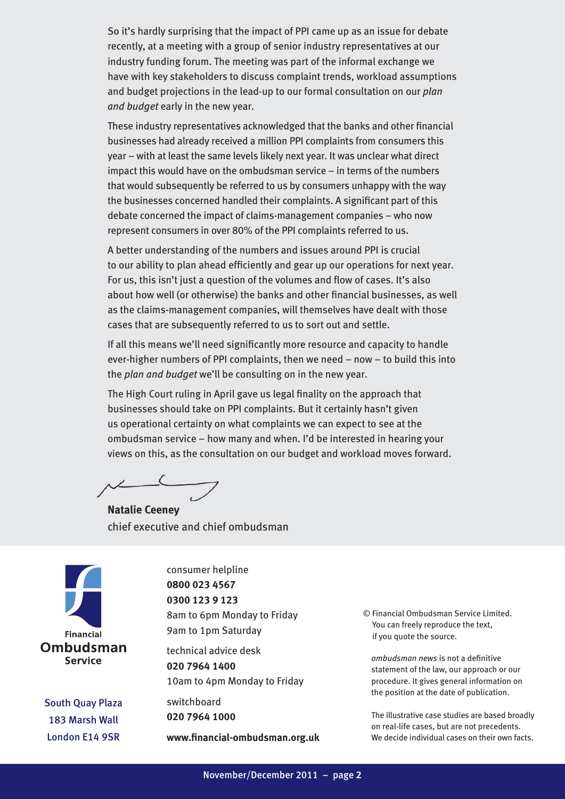So it's hardly surprising that the impact of PPI came up as an issue for debate recently, at a meeting with a group of senior industry representatives at our industry funding forum. The meeting was part of the informal exchange we have with key stakeholders to discuss complaint trends, workload assumptions and budget projections in the lead-up to our formal consultation on our *plan and budget* early in the new year.

These industry representatives acknowledged that the banks and other financial businesses had already received a million PPI complaints from consumers this year – with at least the same levels likely next year. It was unclear what direct impact this would have on the ombudsman service – in terms of the numbers that would subsequently be referred to us by consumers unhappy with the way the businesses concerned handled their complaints. A significant part of this debate concerned the impact of claims-management companies – who now represent consumers in over 80% of the PPI complaints referred to us.

A better understanding of the numbers and issues around PPI is crucial to our ability to plan ahead efficiently and gear up our operations for next year. For us, this isn't just a question of the volumes and flow of cases. It's also about how well (or otherwise) the banks and other financial businesses, as well as the claims-management companies, will themselves have dealt with those cases that are subsequently referred to us to sort out and settle.

If all this means we'll need significantly more resource and capacity to handle ever-higher numbers of PPI complaints, then we need – now – to build this into the *plan and budget* we'll be consulting on in the new year.

The High Court ruling in April gave us legal finality on the approach that businesses should take on PPI complaints. But it certainly hasn't given us operational certainty on what complaints we can expect to see at the ombudsman service – how many and when. I'd be interested in hearing your views on this, as the consultation on our budget and workload moves forward.

**Natalie Ceeney** chief executive and chief ombudsman



South Quay Plaza 183 Marsh Wall London E14 9SR

consumer helpline **0800 023 4567 0300 123 9 123** 8am to 6pm Monday to Friday 9am to 1pm Saturday

technical advice desk **020 7964 1400** 10am to 4pm Monday to Friday

switchboard **020 7964 1000**

**www.financial-ombudsman.org.uk**

© Financial Ombudsman Service Limited. You can freely reproduce the text, if you quote the source.

*ombudsman news* is not a definitive statement of the law, our approach or our procedure. It gives general information on the position at the date of publication.

The illustrative case studies are based broadly on real-life cases, but are not precedents. We decide individual cases on their own facts.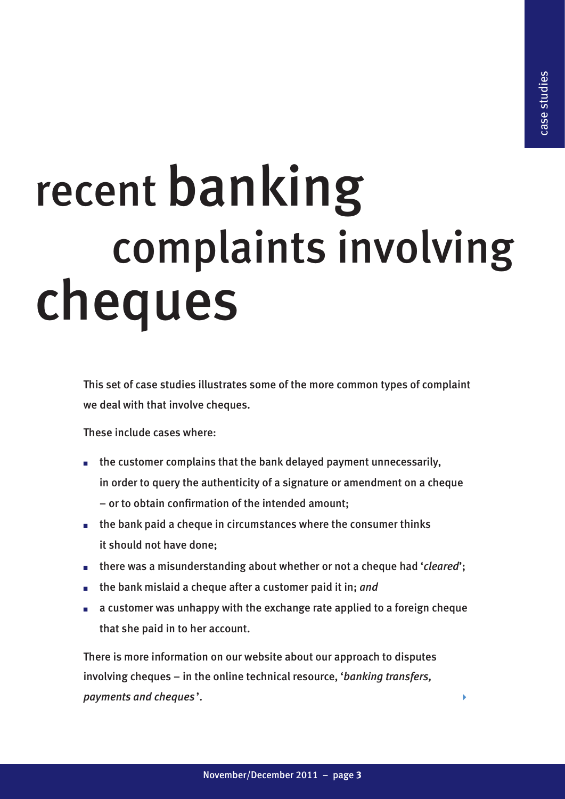# recent banking<br>complaints involving cheques

This set of case studies illustrates some of the more common types of complaint we deal with that involve cheques.

These include cases where:

- the customer complains that the bank delayed payment unnecessarily, in order to query the authenticity of a signature or amendment on a cheque – or to obtain confirmation of the intended amount;
- $\blacksquare$  the bank paid a cheque in circumstances where the consumer thinks it should not have done;
- there was a misunderstanding about whether or not a cheque had '*cleared*';
- the bank mislaid a cheque after a customer paid it in: *and*
- a customer was unhappy with the exchange rate applied to a foreign cheque that she paid in to her account.

There is more information on our website about our approach to disputes involving cheques – in the online technical resource, '*banking transfers, payments and cheques* '.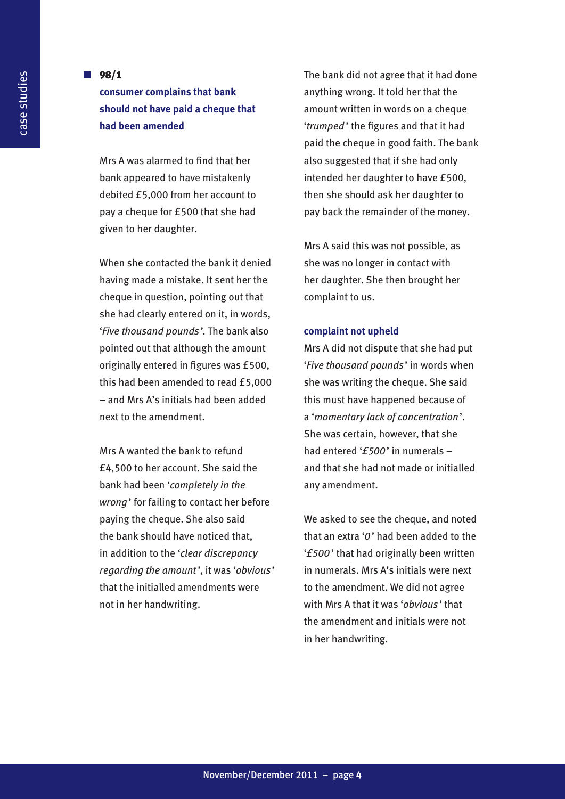### **n**  $98/1$ **consumer complains that bank should not have paid a cheque that**

**had been amended**

Mrs A was alarmed to find that her bank appeared to have mistakenly debited £5,000 from her account to pay a cheque for £500 that she had given to her daughter.

When she contacted the bank it denied having made a mistake. It sent her the cheque in question, pointing out that she had clearly entered on it, in words, '*Five thousand pounds* '. The bank also pointed out that although the amount originally entered in figures was £500, this had been amended to read £5,000 – and Mrs A's initials had been added next to the amendment.

Mrs A wanted the bank to refund £4,500 to her account. She said the bank had been '*completely in the wrong*' for failing to contact her before paying the cheque. She also said the bank should have noticed that, in addition to the '*clear discrepancy regarding the amount* ', it was '*obvious*' that the initialled amendments were not in her handwriting.

The bank did not agree that it had done anything wrong. It told her that the amount written in words on a cheque '*trumped* ' the figures and that it had paid the cheque in good faith. The bank also suggested that if she had only intended her daughter to have £500, then she should ask her daughter to pay back the remainder of the money.

Mrs A said this was not possible, as she was no longer in contact with her daughter. She then brought her complaint to us.

### **complaint not upheld**

Mrs A did not dispute that she had put '*Five thousand pounds* ' in words when she was writing the cheque. She said this must have happened because of a '*momentary lack of concentration*'. She was certain, however, that she had entered '*£500*' in numerals – and that she had not made or initialled any amendment.

We asked to see the cheque, and noted that an extra '*0*' had been added to the '*£500* ' that had originally been written in numerals. Mrs A's initials were next to the amendment. We did not agree with Mrs A that it was '*obvious* ' that the amendment and initials were not in her handwriting.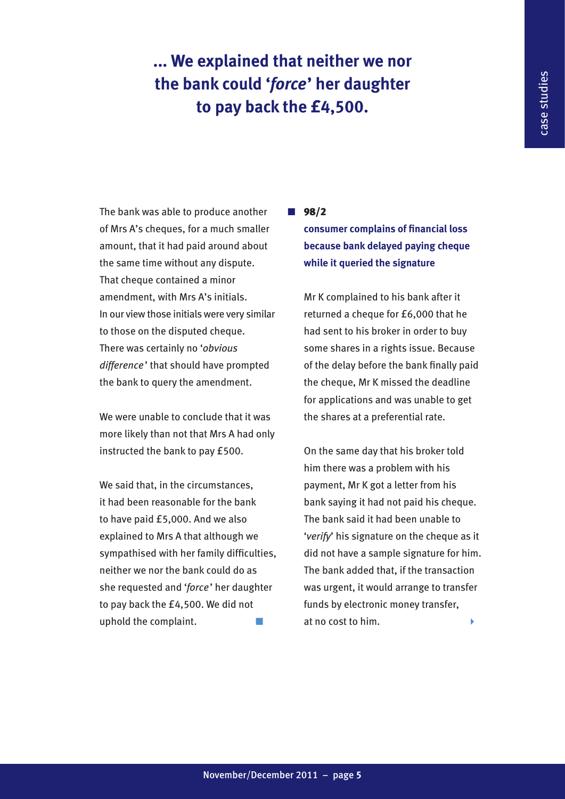### **... We explained that neither we nor the bank could '***force***' her daughter to pay back the £4,500.**

The bank was able to produce another of Mrs A's cheques, for a much smaller amount, that it had paid around about the same time without any dispute. That cheque contained a minor amendment, with Mrs A's initials. In our view those initials were very similar to those on the disputed cheque. There was certainly no '*obvious difference* ' that should have prompted the bank to query the amendment.

We were unable to conclude that it was more likely than not that Mrs A had only instructed the bank to pay £500.

We said that, in the circumstances. it had been reasonable for the bank to have paid £5,000. And we also explained to Mrs A that although we sympathised with her family difficulties, neither we nor the bank could do as she requested and '*force*' her daughter to pay back the £4,500. We did not uphold the complaint.

### **n**  $98/2$

**consumer complains of financial loss because bank delayed paying cheque while it queried the signature** 

Mr K complained to his bank after it returned a cheque for £6,000 that he had sent to his broker in order to buy some shares in a rights issue. Because of the delay before the bank finally paid the cheque, Mr K missed the deadline for applications and was unable to get the shares at a preferential rate.

On the same day that his broker told him there was a problem with his payment, Mr K got a letter from his bank saying it had not paid his cheque. The bank said it had been unable to '*verify*' his signature on the cheque as it did not have a sample signature for him. The bank added that, if the transaction was urgent, it would arrange to transfer funds by electronic money transfer, at no cost to him.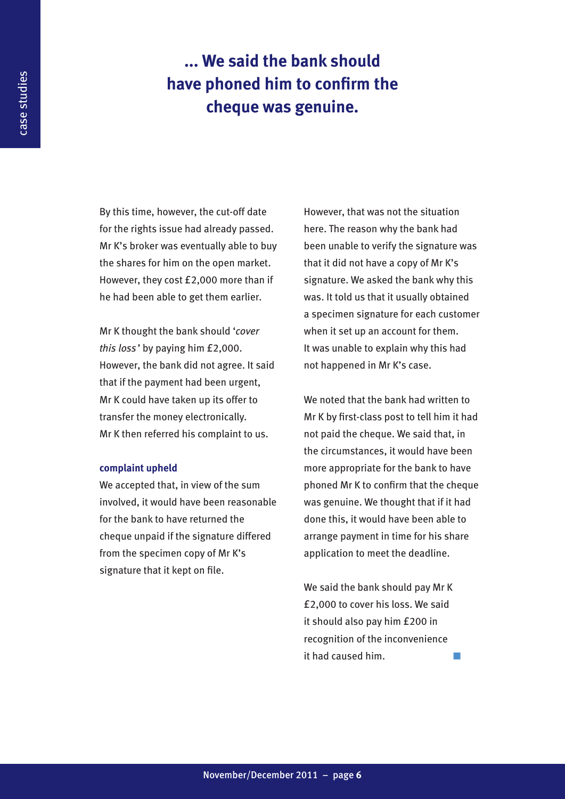### **... We said the bank should have phoned him to confirm the cheque was genuine.**

By this time, however, the cut-off date for the rights issue had already passed. Mr K's broker was eventually able to buy the shares for him on the open market. However, they cost £2,000 more than if he had been able to get them earlier.

Mr K thought the bank should '*cover this loss* ' by paying him £2,000. However, the bank did not agree. It said that if the payment had been urgent, Mr K could have taken up its offer to transfer the money electronically. Mr K then referred his complaint to us.

#### **complaint upheld**

We accepted that, in view of the sum involved, it would have been reasonable for the bank to have returned the cheque unpaid if the signature differed from the specimen copy of Mr K's signature that it kept on file.

However, that was not the situation here. The reason why the bank had been unable to verify the signature was that it did not have a copy of Mr K's signature. We asked the bank why this was. It told us that it usually obtained a specimen signature for each customer when it set up an account for them. It was unable to explain why this had not happened in Mr K's case.

We noted that the bank had written to Mr K by first-class post to tell him it had not paid the cheque. We said that, in the circumstances, it would have been more appropriate for the bank to have phoned Mr K to confirm that the cheque was genuine. We thought that if it had done this, it would have been able to arrange payment in time for his share application to meet the deadline.

We said the bank should pay Mr K £2,000 to cover his loss. We said it should also pay him £200 in recognition of the inconvenience it had caused him.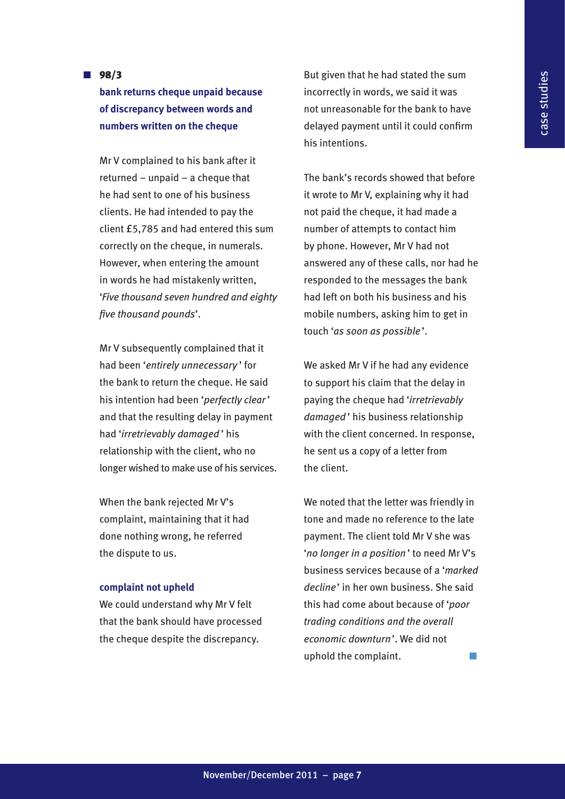**n**  $98/3$ 

### **bank returns cheque unpaid because of discrepancy between words and numbers written on the cheque**

Mr V complained to his bank after it returned – unpaid – a cheque that he had sent to one of his business clients. He had intended to pay the client £5,785 and had entered this sum correctly on the cheque, in numerals. However, when entering the amount in words he had mistakenly written, '*Five thousand seven hundred and eighty five thousand pounds*'.

Mr V subsequently complained that it had been '*entirely unnecessary* ' for the bank to return the cheque. He said his intention had been '*perfectly clear*' and that the resulting delay in payment had '*irretrievably damaged* ' his relationship with the client, who no longer wished to make use of his services.

When the bank rejected Mr V's complaint, maintaining that it had done nothing wrong, he referred the dispute to us.

### **complaint not upheld**

We could understand why Mr V felt that the bank should have processed the cheque despite the discrepancy.

But given that he had stated the sum incorrectly in words, we said it was not unreasonable for the bank to have delayed payment until it could confirm his intentions.

The bank's records showed that before it wrote to Mr V, explaining why it had not paid the cheque, it had made a number of attempts to contact him by phone. However, Mr V had not answered any of these calls, nor had he responded to the messages the bank had left on both his business and his mobile numbers, asking him to get in touch '*as soon as possible* '.

We asked Mr V if he had any evidence to support his claim that the delay in paying the cheque had '*irretrievably damaged* ' his business relationship with the client concerned. In response, he sent us a copy of a letter from the client.

We noted that the letter was friendly in tone and made no reference to the late payment. The client told Mr V she was '*no longer in a position* ' to need Mr V's business services because of a '*marked decline*' in her own business. She said this had come about because of '*poor trading conditions and the overall economic downturn*'. We did not uphold the complaint.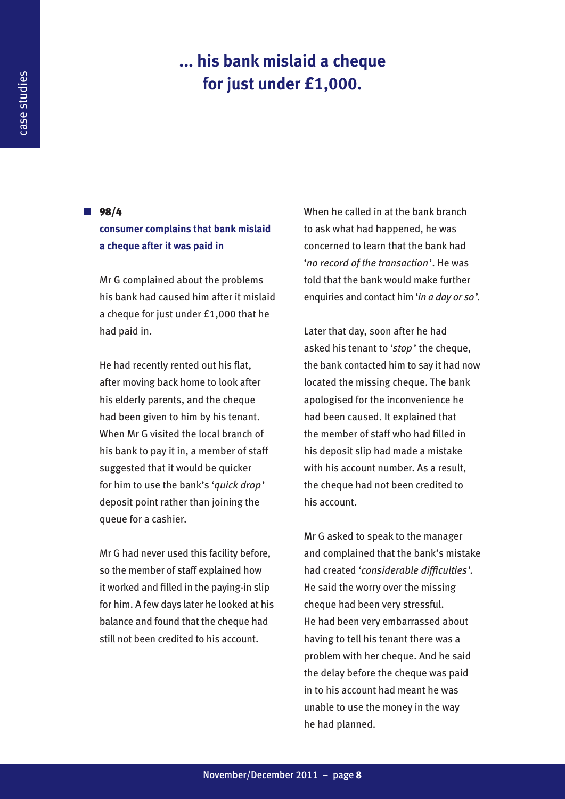### **... his bank mislaid a cheque for just under £1,000.**

**n**  $98/4$ 

### **consumer complains that bank mislaid a cheque after it was paid in**

Mr G complained about the problems his bank had caused him after it mislaid a cheque for just under £1,000 that he had paid in.

He had recently rented out his flat, after moving back home to look after his elderly parents, and the cheque had been given to him by his tenant. When Mr G visited the local branch of his bank to pay it in, a member of staff suggested that it would be quicker for him to use the bank's '*quick drop*' deposit point rather than joining the queue for a cashier.

Mr G had never used this facility before, so the member of staff explained how it worked and filled in the paying-in slip for him. A few days later he looked at his balance and found that the cheque had still not been credited to his account.

When he called in at the bank branch to ask what had happened, he was concerned to learn that the bank had '*no record of the transaction*'. He was told that the bank would make further enquiries and contact him '*in a day or so*'.

Later that day, soon after he had asked his tenant to '*stop* ' the cheque, the bank contacted him to say it had now located the missing cheque. The bank apologised for the inconvenience he had been caused. It explained that the member of staff who had filled in his deposit slip had made a mistake with his account number. As a result, the cheque had not been credited to his account.

Mr G asked to speak to the manager and complained that the bank's mistake had created '*considerable difficulties*'. He said the worry over the missing cheque had been very stressful. He had been very embarrassed about having to tell his tenant there was a problem with her cheque. And he said the delay before the cheque was paid in to his account had meant he was unable to use the money in the way he had planned.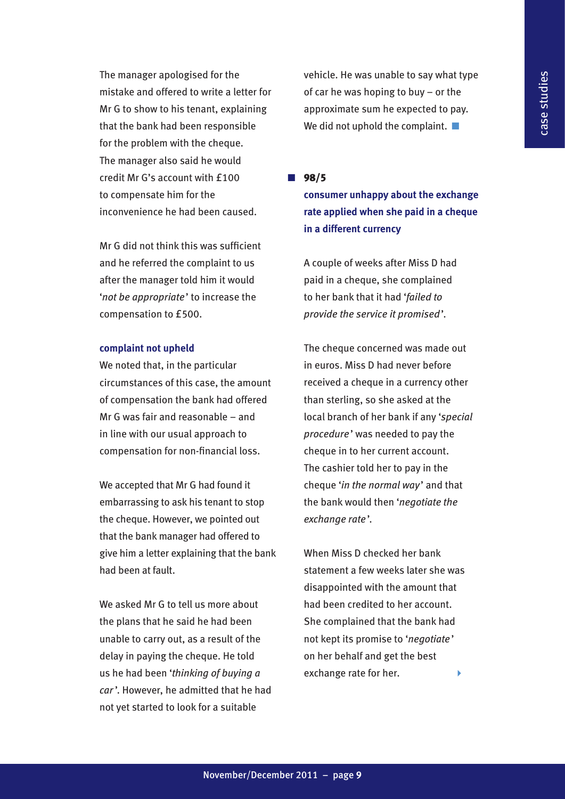The manager apologised for the mistake and offered to write a letter for Mr G to show to his tenant, explaining that the bank had been responsible for the problem with the cheque. The manager also said he would credit Mr G's account with £100 to compensate him for the inconvenience he had been caused.

Mr G did not think this was sufficient and he referred the complaint to us after the manager told him it would '*not be appropriate*' to increase the compensation to £500.

### **complaint not upheld**

We noted that, in the particular circumstances of this case, the amount of compensation the bank had offered Mr G was fair and reasonable – and in line with our usual approach to compensation for non-financial loss.

We accepted that Mr G had found it embarrassing to ask his tenant to stop the cheque. However, we pointed out that the bank manager had offered to give him a letter explaining that the bank had been at fault.

We asked Mr G to tell us more about the plans that he said he had been unable to carry out, as a result of the delay in paying the cheque. He told us he had been '*thinking of buying a car* '. However, he admitted that he had not yet started to look for a suitable

vehicle. He was unable to say what type of car he was hoping to buy – or the approximate sum he expected to pay. We did not uphold the complaint.  $\blacksquare$ 

 $\blacksquare$  98/5

**consumer unhappy about the exchange rate applied when she paid in a cheque in a different currency**

A couple of weeks after Miss D had paid in a cheque, she complained to her bank that it had '*failed to provide the service it promised*'.

The cheque concerned was made out in euros. Miss D had never before received a cheque in a currency other than sterling, so she asked at the local branch of her bank if any '*special procedure*' was needed to pay the cheque in to her current account. The cashier told her to pay in the cheque '*in the normal way*' and that the bank would then '*negotiate the exchange rate* '.

When Miss D checked her bank statement a few weeks later she was disappointed with the amount that had been credited to her account. She complained that the bank had not kept its promise to '*negotiate* ' on her behalf and get the best exchange rate for her.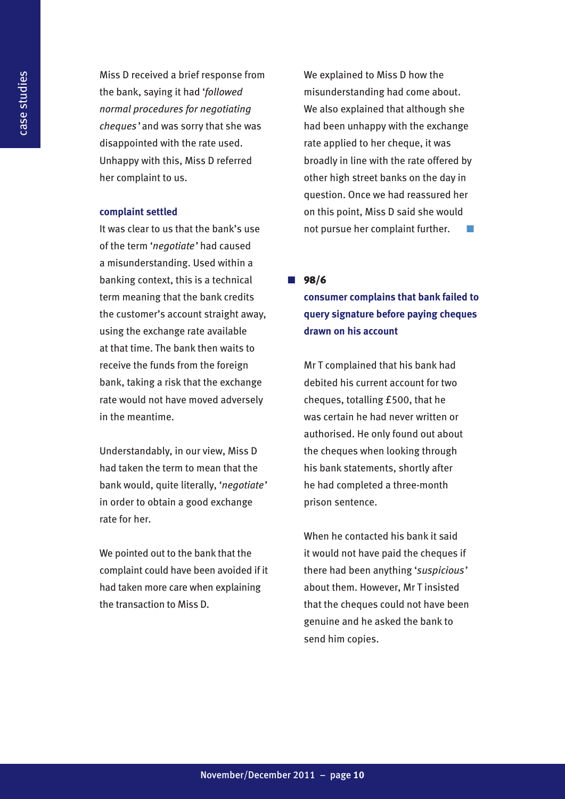Miss D received a brief response from the bank, saying it had '*followed normal procedures for negotiating cheques* ' and was sorry that she was disappointed with the rate used. Unhappy with this, Miss D referred her complaint to us.

### **complaint settled**

It was clear to us that the bank's use of the term '*negotiate*' had caused a misunderstanding. Used within a banking context, this is a technical term meaning that the bank credits the customer's account straight away, using the exchange rate available at that time. The bank then waits to receive the funds from the foreign bank, taking a risk that the exchange rate would not have moved adversely in the meantime.

Understandably, in our view, Miss D had taken the term to mean that the bank would, quite literally, '*negotiate*' in order to obtain a good exchange rate for her.

We pointed out to the bank that the complaint could have been avoided if it had taken more care when explaining the transaction to Miss D.

We explained to Miss D how the misunderstanding had come about. We also explained that although she had been unhappy with the exchange rate applied to her cheque, it was broadly in line with the rate offered by other high street banks on the day in question. Once we had reassured her on this point, Miss D said she would not pursue her complaint further.

**n**  $98/6$ 

**consumer complains that bank failed to query signature before paying cheques drawn on his account**

Mr T complained that his bank had debited his current account for two cheques, totalling £500, that he was certain he had never written or authorised. He only found out about the cheques when looking through his bank statements, shortly after he had completed a three-month prison sentence.

When he contacted his bank it said it would not have paid the cheques if there had been anything '*suspicious*' about them. However, Mr T insisted that the cheques could not have been genuine and he asked the bank to send him copies.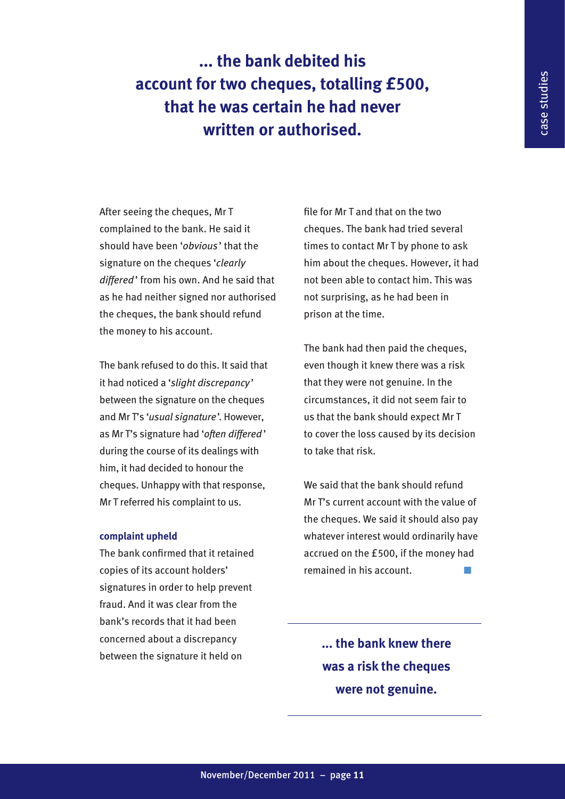**... the bank debited his account for two cheques, totalling £500, that he was certain he had never written or authorised.**

After seeing the cheques, Mr T complained to the bank. He said it should have been '*obvious*' that the signature on the cheques '*clearly differed*' from his own. And he said that as he had neither signed nor authorised the cheques, the bank should refund the money to his account.

The bank refused to do this. It said that it had noticed a '*slight discrepancy* ' between the signature on the cheques and Mr T's '*usual signature*'. However, as Mr T's signature had '*often differed* ' during the course of its dealings with him, it had decided to honour the cheques. Unhappy with that response, Mr T referred his complaint to us.

### **complaint upheld**

The bank confirmed that it retained copies of its account holders' signatures in order to help prevent fraud. And it was clear from the bank's records that it had been concerned about a discrepancy between the signature it held on

file for Mr T and that on the two cheques. The bank had tried several times to contact Mr T by phone to ask him about the cheques. However, it had not been able to contact him. This was not surprising, as he had been in prison at the time.

The bank had then paid the cheques, even though it knew there was a risk that they were not genuine. In the circumstances, it did not seem fair to us that the bank should expect Mr T to cover the loss caused by its decision to take that risk.

We said that the bank should refund Mr T's current account with the value of the cheques. We said it should also pay whatever interest would ordinarily have accrued on the £500, if the money had remained in his account.

> **... the bank knew there was a risk the cheques were not genuine.**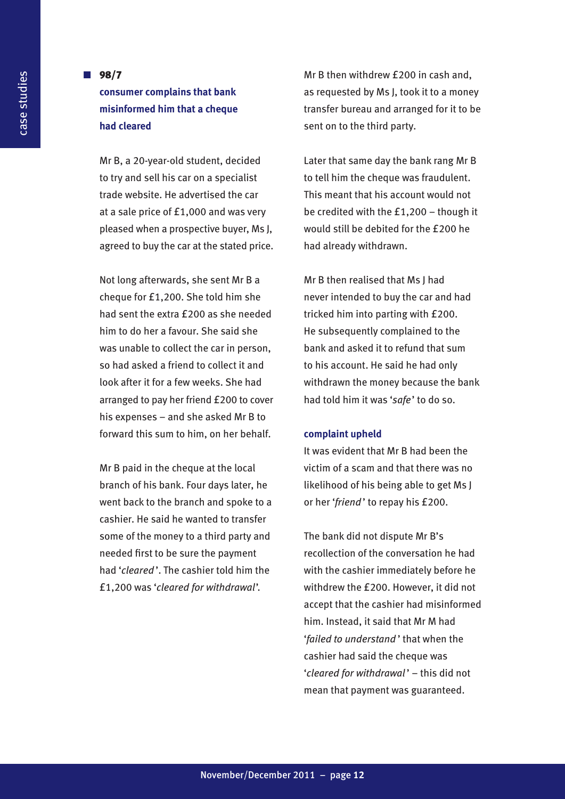### **n**  $98/7$ **consumer complains that bank misinformed him that a cheque had cleared**

Mr B, a 20-year-old student, decided to try and sell his car on a specialist trade website. He advertised the car at a sale price of £1,000 and was very pleased when a prospective buyer, Ms J, agreed to buy the car at the stated price.

Not long afterwards, she sent Mr B a cheque for £1,200. She told him she had sent the extra £200 as she needed him to do her a favour. She said she was unable to collect the car in person, so had asked a friend to collect it and look after it for a few weeks. She had arranged to pay her friend £200 to cover his expenses – and she asked Mr B to forward this sum to him, on her behalf.

Mr B paid in the cheque at the local branch of his bank. Four days later, he went back to the branch and spoke to a cashier. He said he wanted to transfer some of the money to a third party and needed first to be sure the payment had '*cleared* '. The cashier told him the £1,200 was '*cleared for withdrawal*'.

Mr B then withdrew £200 in cash and, as requested by Ms J, took it to a money transfer bureau and arranged for it to be sent on to the third party.

Later that same day the bank rang Mr B to tell him the cheque was fraudulent. This meant that his account would not be credited with the £1,200 – though it would still be debited for the £200 he had already withdrawn.

Mr B then realised that Ms J had never intended to buy the car and had tricked him into parting with £200. He subsequently complained to the bank and asked it to refund that sum to his account. He said he had only withdrawn the money because the bank had told him it was '*safe*' to do so.

#### **complaint upheld**

It was evident that Mr B had been the victim of a scam and that there was no likelihood of his being able to get Ms J or her '*friend* ' to repay his £200.

The bank did not dispute Mr B's recollection of the conversation he had with the cashier immediately before he withdrew the £200. However, it did not accept that the cashier had misinformed him. Instead, it said that Mr M had '*failed to understand* ' that when the cashier had said the cheque was '*cleared for withdrawal* ' – this did not mean that payment was guaranteed.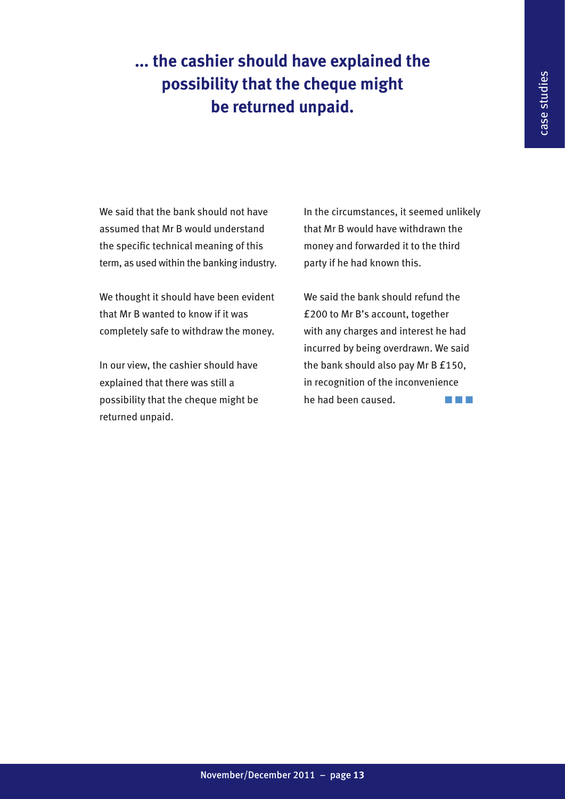### **... the cashier should have explained the possibility that the cheque might be returned unpaid.**

We said that the bank should not have assumed that Mr B would understand the specific technical meaning of this term, as used within the banking industry.

We thought it should have been evident that Mr B wanted to know if it was completely safe to withdraw the money.

In our view, the cashier should have explained that there was still a possibility that the cheque might be returned unpaid.

In the circumstances, it seemed unlikely that Mr B would have withdrawn the money and forwarded it to the third party if he had known this.

We said the bank should refund the £200 to Mr B's account, together with any charges and interest he had incurred by being overdrawn. We said the bank should also pay Mr B £150, in recognition of the inconvenience he had been caused.  $\blacksquare$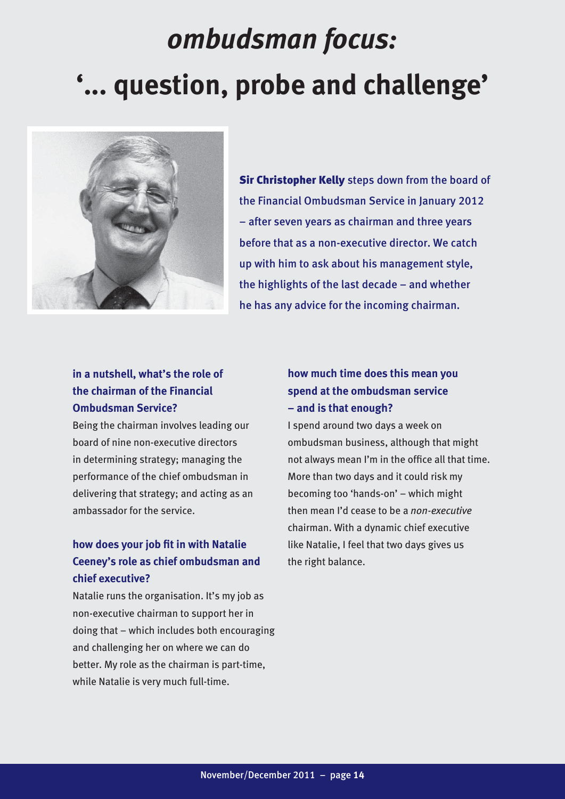### *ombudsman focus:* **'... question, probe and challenge'**



**Sir Christopher Kelly** steps down from the board of the Financial Ombudsman Service in January 2012 – after seven years as chairman and three years before that as a non-executive director. We catch up with him to ask about his management style, the highlights of the last decade – and whether he has any advice for the incoming chairman.

### **in a nutshell, what's the role of the chairman of the Financial Ombudsman Service?**

Being the chairman involves leading our board of nine non-executive directors in determining strategy; managing the performance of the chief ombudsman in delivering that strategy; and acting as an ambassador for the service.

### **how does your job fit in with Natalie Ceeney's role as chief ombudsman and chief executive?**

Natalie runs the organisation. It's my job as non-executive chairman to support her in doing that – which includes both encouraging and challenging her on where we can do better. My role as the chairman is part-time, while Natalie is very much full-time.

### **how much time does this mean you spend at the ombudsman service – and is that enough?**

I spend around two days a week on ombudsman business, although that might not always mean I'm in the office all that time. More than two days and it could risk my becoming too 'hands-on' – which might then mean I'd cease to be a *non-executive* chairman. With a dynamic chief executive like Natalie, I feel that two days gives us the right balance.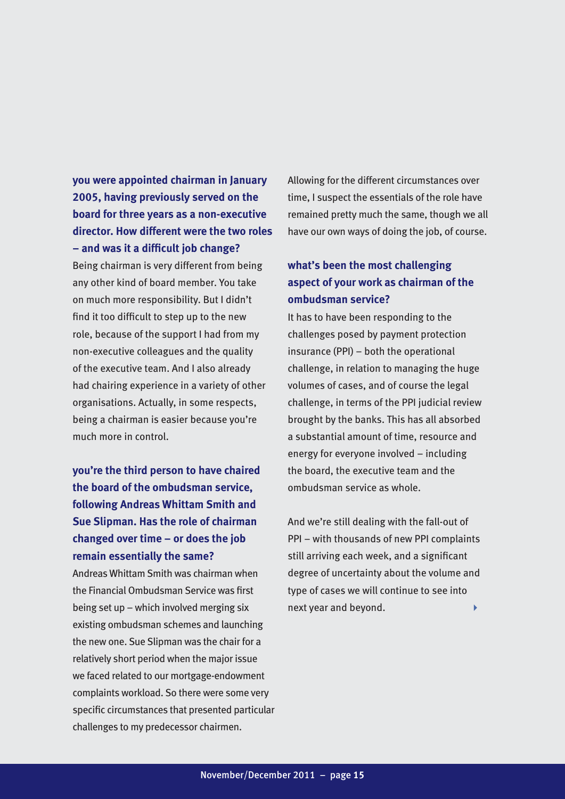**you were appointed chairman in January 2005, having previously served on the board for three years as a non-executive director. How different were the two roles – and was it a difficult job change?**

Being chairman is very different from being any other kind of board member. You take on much more responsibility. But I didn't find it too difficult to step up to the new role, because of the support I had from my non-executive colleagues and the quality of the executive team. And I also already had chairing experience in a variety of other organisations. Actually, in some respects, being a chairman is easier because you're much more in control.

### **you're the third person to have chaired the board of the ombudsman service, following Andreas Whittam Smith and Sue Slipman. Has the role of chairman changed over time – or does the job remain essentially the same?**

Andreas Whittam Smith was chairman when the Financial Ombudsman Service was first being set up – which involved merging six existing ombudsman schemes and launching the new one. Sue Slipman was the chair for a relatively short period when the major issue we faced related to our mortgage-endowment complaints workload. So there were some very specific circumstances that presented particular challenges to my predecessor chairmen.

Allowing for the different circumstances over time, I suspect the essentials of the role have remained pretty much the same, though we all have our own ways of doing the job, of course.

### **what's been the most challenging aspect of your work as chairman of the ombudsman service?**

It has to have been responding to the challenges posed by payment protection insurance (PPI) – both the operational challenge, in relation to managing the huge volumes of cases, and of course the legal challenge, in terms of the PPI judicial review brought by the banks. This has all absorbed a substantial amount of time, resource and energy for everyone involved – including the board, the executive team and the ombudsman service as whole.

And we're still dealing with the fall-out of PPI – with thousands of new PPI complaints still arriving each week, and a significant degree of uncertainty about the volume and type of cases we will continue to see into next year and beyond.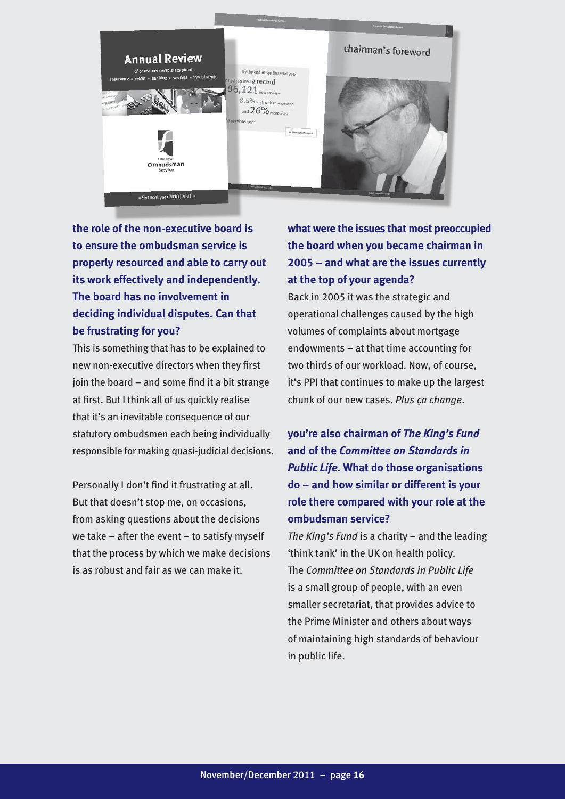

**the role of the non-executive board is to ensure the ombudsman service is properly resourced and able to carry out its work effectively and independently. The board has no involvement in deciding individual disputes. Can that be frustrating for you?**

This is something that has to be explained to new non-executive directors when they first join the board – and some find it a bit strange at first. But I think all of us quickly realise that it's an inevitable consequence of our statutory ombudsmen each being individually responsible for making quasi-judicial decisions.

Personally I don't find it frustrating at all. But that doesn't stop me, on occasions, from asking questions about the decisions we take – after the event – to satisfy myself that the process by which we make decisions is as robust and fair as we can make it.

### **what were the issues that most preoccupied the board when you became chairman in 2005 – and what are the issues currently at the top of your agenda?**

Back in 2005 it was the strategic and operational challenges caused by the high volumes of complaints about mortgage endowments – at that time accounting for two thirds of our workload. Now, of course, it's PPI that continues to make up the largest chunk of our new cases. *Plus ça change*.

### **you're also chairman of** *The King's Fund* **and of the** *Committee on Standards in Public Life***. What do those organisations do – and how similar or different is your role there compared with your role at the ombudsman service?**

*The King's Fund* is a charity – and the leading 'think tank' in the UK on health policy. The *Committee on Standards in Public Life* is a small group of people, with an even smaller secretariat, that provides advice to the Prime Minister and others about ways of maintaining high standards of behaviour in public life.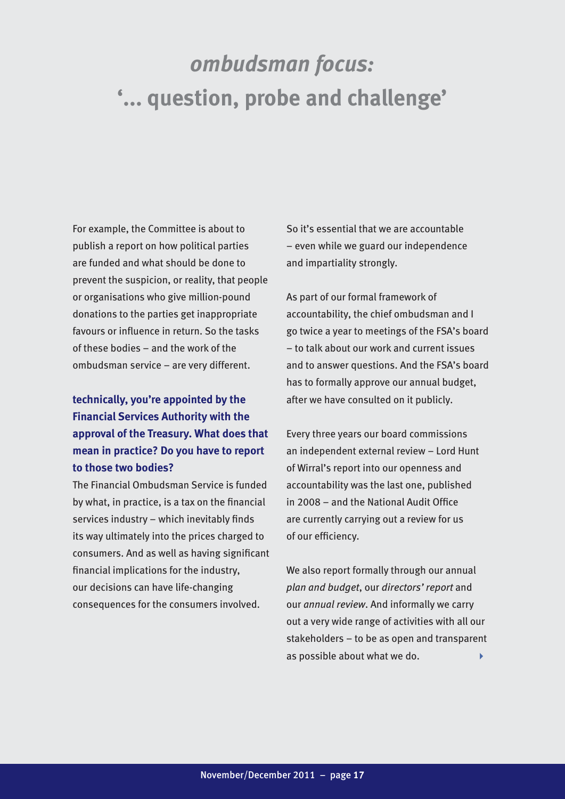### *ombudsman focus:* **'... question, probe and challenge'**

For example, the Committee is about to publish a report on how political parties are funded and what should be done to prevent the suspicion, or reality, that people or organisations who give million-pound donations to the parties get inappropriate favours or influence in return. So the tasks of these bodies – and the work of the ombudsman service – are very different.

### **technically, you're appointed by the Financial Services Authority with the approval of the Treasury. What does that mean in practice? Do you have to report to those two bodies?**

The Financial Ombudsman Service is funded by what, in practice, is a tax on the financial services industry – which inevitably finds its way ultimately into the prices charged to consumers. And as well as having significant financial implications for the industry, our decisions can have life-changing consequences for the consumers involved.

So it's essential that we are accountable – even while we guard our independence and impartiality strongly.

As part of our formal framework of accountability, the chief ombudsman and I go twice a year to meetings of the FSA's board – to talk about our work and current issues and to answer questions. And the FSA's board has to formally approve our annual budget, after we have consulted on it publicly.

Every three years our board commissions an independent external review – Lord Hunt of Wirral's report into our openness and accountability was the last one, published in 2008 – and the National Audit Office are currently carrying out a review for us of our efficiency.

We also report formally through our annual *plan and budget*, our *directors' report* and our *annual review*. And informally we carry out a very wide range of activities with all our stakeholders – to be as open and transparent as possible about what we do.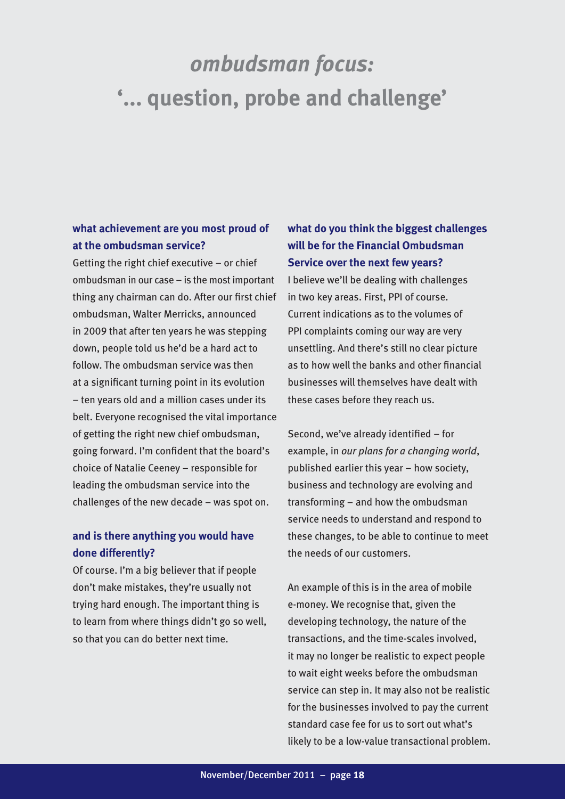### *ombudsman focus:* **'... question, probe and challenge'**

### **what achievement are you most proud of at the ombudsman service?**

Getting the right chief executive – or chief ombudsman in our case – is the most important thing any chairman can do. After our first chief ombudsman, Walter Merricks, announced in 2009 that after ten years he was stepping down, people told us he'd be a hard act to follow. The ombudsman service was then at a significant turning point in its evolution – ten years old and a million cases under its belt. Everyone recognised the vital importance of getting the right new chief ombudsman, going forward. I'm confident that the board's choice of Natalie Ceeney – responsible for leading the ombudsman service into the challenges of the new decade – was spot on.

### **and is there anything you would have done differently?**

Of course. I'm a big believer that if people don't make mistakes, they're usually not trying hard enough. The important thing is to learn from where things didn't go so well, so that you can do better next time.

### **what do you think the biggest challenges will be for the Financial Ombudsman Service over the next few years?**

I believe we'll be dealing with challenges in two key areas. First, PPI of course. Current indications as to the volumes of PPI complaints coming our way are very unsettling. And there's still no clear picture as to how well the banks and other financial businesses will themselves have dealt with these cases before they reach us.

Second, we've already identified – for example, in *our plans for a changing world*, published earlier this year – how society, business and technology are evolving and transforming – and how the ombudsman service needs to understand and respond to these changes, to be able to continue to meet the needs of our customers.

An example of this is in the area of mobile e-money. We recognise that, given the developing technology, the nature of the transactions, and the time-scales involved, it may no longer be realistic to expect people to wait eight weeks before the ombudsman service can step in. It may also not be realistic for the businesses involved to pay the current standard case fee for us to sort out what's likely to be a low-value transactional problem.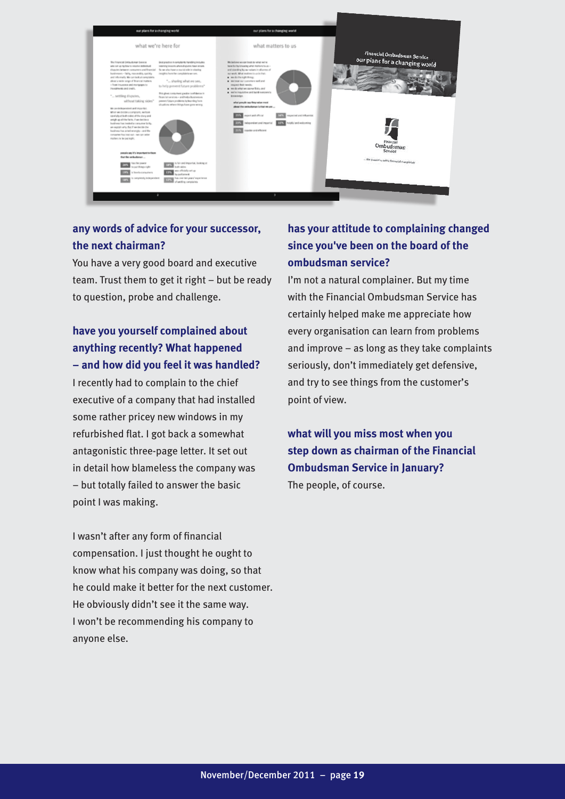

### **any words of advice for your successor, the next chairman?**

You have a very good board and executive team. Trust them to get it right – but be ready to question, probe and challenge.

### **have you yourself complained about anything recently? What happened – and how did you feel it was handled?**

I recently had to complain to the chief executive of a company that had installed some rather pricey new windows in my refurbished flat. I got back a somewhat antagonistic three-page letter. It set out in detail how blameless the company was – but totally failed to answer the basic point I was making.

I wasn't after any form of financial compensation. I just thought he ought to know what his company was doing, so that he could make it better for the next customer. He obviously didn't see it the same way. I won't be recommending his company to anyone else.

### **has your attitude to complaining changed since you've been on the board of the ombudsman service?**

I'm not a natural complainer. But my time with the Financial Ombudsman Service has certainly helped make me appreciate how every organisation can learn from problems and improve – as long as they take complaints seriously, don't immediately get defensive, and try to see things from the customer's point of view.

**what will you miss most when you step down as chairman of the Financial Ombudsman Service in January?** The people, of course.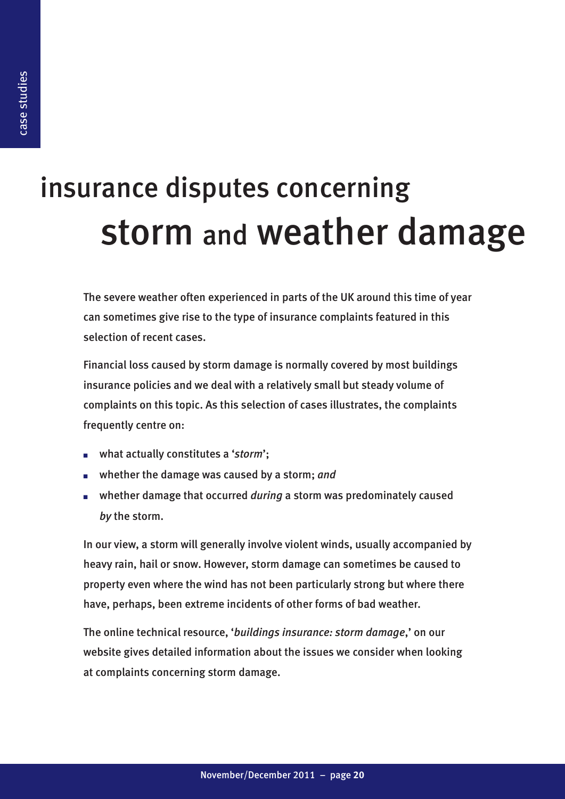### insurance disputes concerning storm and weather damage

The severe weather often experienced in parts of the UK around this time of year can sometimes give rise to the type of insurance complaints featured in this selection of recent cases.

Financial loss caused by storm damage is normally covered by most buildings insurance policies and we deal with a relatively small but steady volume of complaints on this topic. As this selection of cases illustrates, the complaints frequently centre on:

- what actually constitutes a '*storm*';
- whether the damage was caused by a storm; and
- whether damage that occurred *during* a storm was predominately caused *by* the storm.

In our view, a storm will generally involve violent winds, usually accompanied by heavy rain, hail or snow. However, storm damage can sometimes be caused to property even where the wind has not been particularly strong but where there have, perhaps, been extreme incidents of other forms of bad weather.

The online technical resource, '*buildings insurance: storm damage*,' on our website gives detailed information about the issues we consider when looking at complaints concerning storm damage.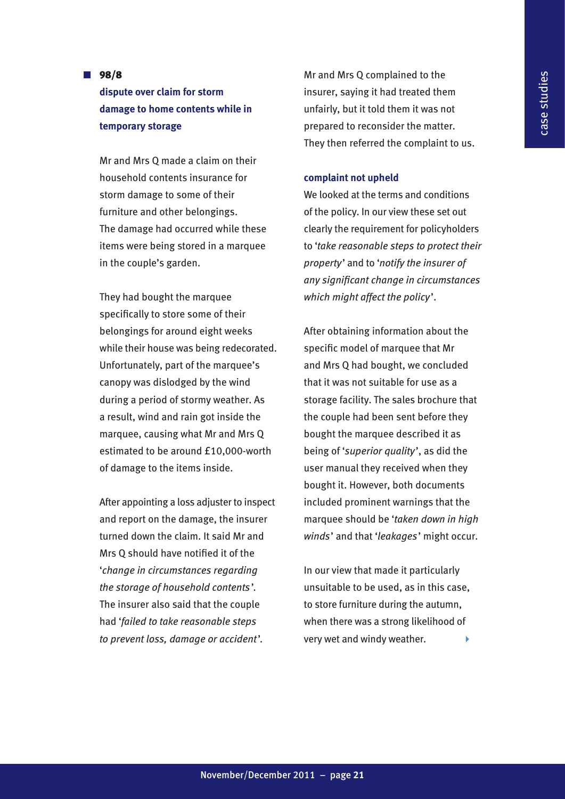### **n**  $98/8$ **dispute over claim for storm damage to home contents while in temporary storage**

Mr and Mrs Q made a claim on their household contents insurance for storm damage to some of their furniture and other belongings. The damage had occurred while these items were being stored in a marquee in the couple's garden.

They had bought the marquee specifically to store some of their belongings for around eight weeks while their house was being redecorated. Unfortunately, part of the marquee's canopy was dislodged by the wind during a period of stormy weather. As a result, wind and rain got inside the marquee, causing what Mr and Mrs Q estimated to be around £10,000-worth of damage to the items inside.

After appointing a loss adjuster to inspect and report on the damage, the insurer turned down the claim. It said Mr and Mrs Q should have notified it of the '*change in circumstances regarding the storage of household contents* '. The insurer also said that the couple had '*failed to take reasonable steps to prevent loss, damage or accident*'.

Mr and Mrs Q complained to the insurer, saying it had treated them unfairly, but it told them it was not prepared to reconsider the matter. They then referred the complaint to us.

### **complaint not upheld**

We looked at the terms and conditions of the policy. In our view these set out clearly the requirement for policyholders to '*take reasonable steps to protect their property*' and to '*notify the insurer of any significant change in circumstances which might affect the policy*'.

After obtaining information about the specific model of marquee that Mr and Mrs Q had bought, we concluded that it was not suitable for use as a storage facility. The sales brochure that the couple had been sent before they bought the marquee described it as being of '*superior quality*', as did the user manual they received when they bought it. However, both documents included prominent warnings that the marquee should be '*taken down in high winds*' and that '*leakages*' might occur.

In our view that made it particularly unsuitable to be used, as in this case, to store furniture during the autumn, when there was a strong likelihood of very wet and windy weather.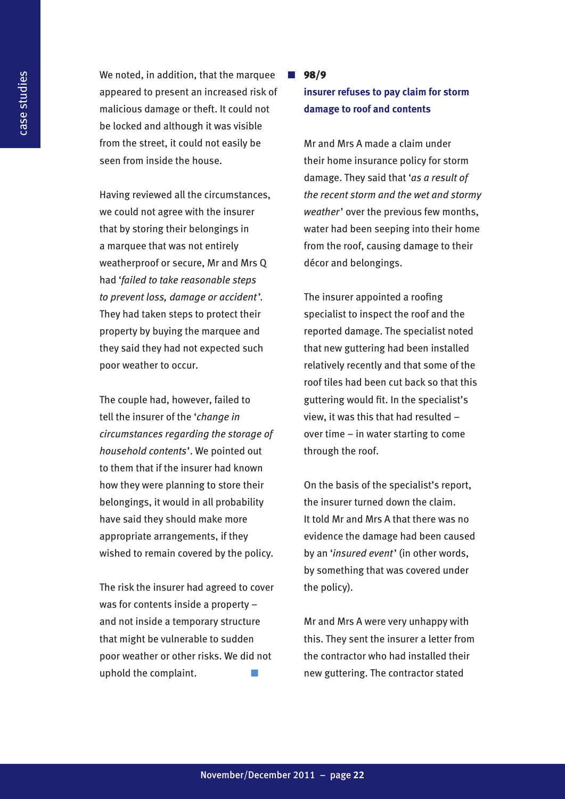We noted, in addition, that the marquee appeared to present an increased risk of malicious damage or theft. It could not be locked and although it was visible from the street, it could not easily be seen from inside the house.

Having reviewed all the circumstances, we could not agree with the insurer that by storing their belongings in a marquee that was not entirely weatherproof or secure, Mr and Mrs Q had '*failed to take reasonable steps to prevent loss, damage or accident* '. They had taken steps to protect their property by buying the marquee and they said they had not expected such poor weather to occur.

The couple had, however, failed to tell the insurer of the '*change in circumstances regarding the storage of household contents*'. We pointed out to them that if the insurer had known how they were planning to store their belongings, it would in all probability have said they should make more appropriate arrangements, if they wished to remain covered by the policy.

The risk the insurer had agreed to cover was for contents inside a property – and not inside a temporary structure that might be vulnerable to sudden poor weather or other risks. We did not uphold the complaint.

#### n 98/9

### **insurer refuses to pay claim for storm damage to roof and contents**

Mr and Mrs A made a claim under their home insurance policy for storm damage. They said that '*as a result of the recent storm and the wet and stormy weather*' over the previous few months, water had been seeping into their home from the roof, causing damage to their décor and belongings.

The insurer appointed a roofing specialist to inspect the roof and the reported damage. The specialist noted that new guttering had been installed relatively recently and that some of the roof tiles had been cut back so that this guttering would fit. In the specialist's view, it was this that had resulted – over time – in water starting to come through the roof.

On the basis of the specialist's report, the insurer turned down the claim. It told Mr and Mrs A that there was no evidence the damage had been caused by an '*insured event*' (in other words, by something that was covered under the policy).

Mr and Mrs A were very unhappy with this. They sent the insurer a letter from the contractor who had installed their new guttering. The contractor stated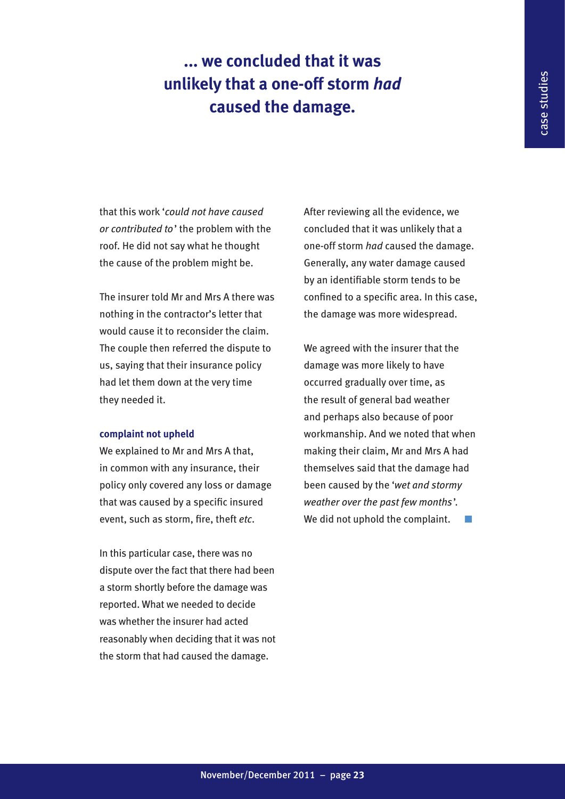### **... we concluded that it was unlikely that a one-off storm** *had* **caused the damage.**

that this work '*could not have caused or contributed to*' the problem with the roof. He did not say what he thought the cause of the problem might be.

The insurer told Mr and Mrs A there was nothing in the contractor's letter that would cause it to reconsider the claim. The couple then referred the dispute to us, saying that their insurance policy had let them down at the very time they needed it.

### **complaint not upheld**

We explained to Mr and Mrs A that, in common with any insurance, their policy only covered any loss or damage that was caused by a specific insured event, such as storm, fire, theft *etc*.

In this particular case, there was no dispute over the fact that there had been a storm shortly before the damage was reported. What we needed to decide was whether the insurer had acted reasonably when deciding that it was not the storm that had caused the damage.

After reviewing all the evidence, we concluded that it was unlikely that a one-off storm *had* caused the damage. Generally, any water damage caused by an identifiable storm tends to be confined to a specific area. In this case, the damage was more widespread.

We agreed with the insurer that the damage was more likely to have occurred gradually over time, as the result of general bad weather and perhaps also because of poor workmanship. And we noted that when making their claim, Mr and Mrs A had themselves said that the damage had been caused by the '*wet and stormy weather over the past few months*'. We did not uphold the complaint.  $\Box$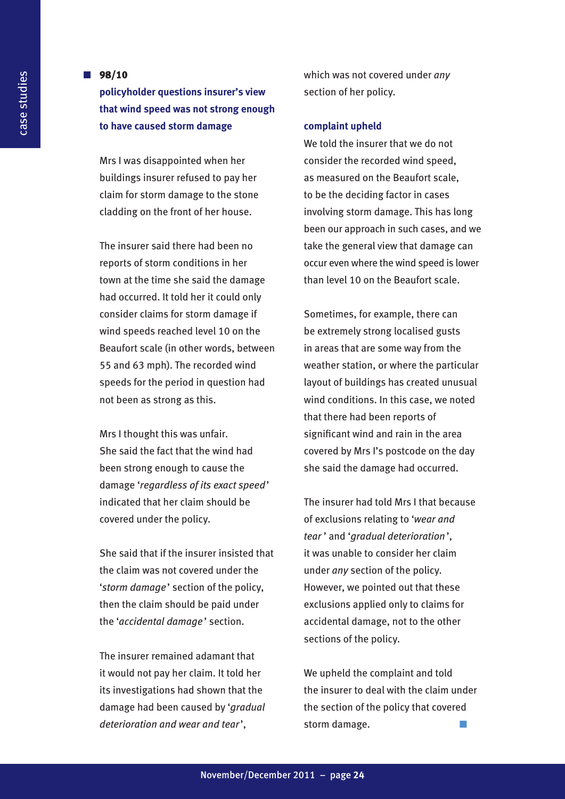### **n**  $98/10$

**policyholder questions insurer's view that wind speed was not strong enough to have caused storm damage**

Mrs I was disappointed when her buildings insurer refused to pay her claim for storm damage to the stone cladding on the front of her house.

The insurer said there had been no reports of storm conditions in her town at the time she said the damage had occurred. It told her it could only consider claims for storm damage if wind speeds reached level 10 on the Beaufort scale (in other words, between 55 and 63 mph). The recorded wind speeds for the period in question had not been as strong as this.

Mrs I thought this was unfair. She said the fact that the wind had been strong enough to cause the damage '*regardless of its exact speed*' indicated that her claim should be covered under the policy.

She said that if the insurer insisted that the claim was not covered under the '*storm damage*' section of the policy, then the claim should be paid under the '*accidental damage* ' section.

The insurer remained adamant that it would not pay her claim. It told her its investigations had shown that the damage had been caused by '*gradual deterioration and wear and tear*',

which was not covered under *any* section of her policy.

#### **complaint upheld**

We told the insurer that we do not consider the recorded wind speed, as measured on the Beaufort scale, to be the deciding factor in cases involving storm damage. This has long been our approach in such cases, and we take the general view that damage can occur even where the wind speed is lower than level 10 on the Beaufort scale.

Sometimes, for example, there can be extremely strong localised gusts in areas that are some way from the weather station, or where the particular layout of buildings has created unusual wind conditions. In this case, we noted that there had been reports of significant wind and rain in the area covered by Mrs I's postcode on the day she said the damage had occurred.

The insurer had told Mrs I that because of exclusions relating to '*wear and tear* ' and '*gradual deterioration* ', it was unable to consider her claim under *any* section of the policy. However, we pointed out that these exclusions applied only to claims for accidental damage, not to the other sections of the policy.

We upheld the complaint and told the insurer to deal with the claim under the section of the policy that covered storm damage.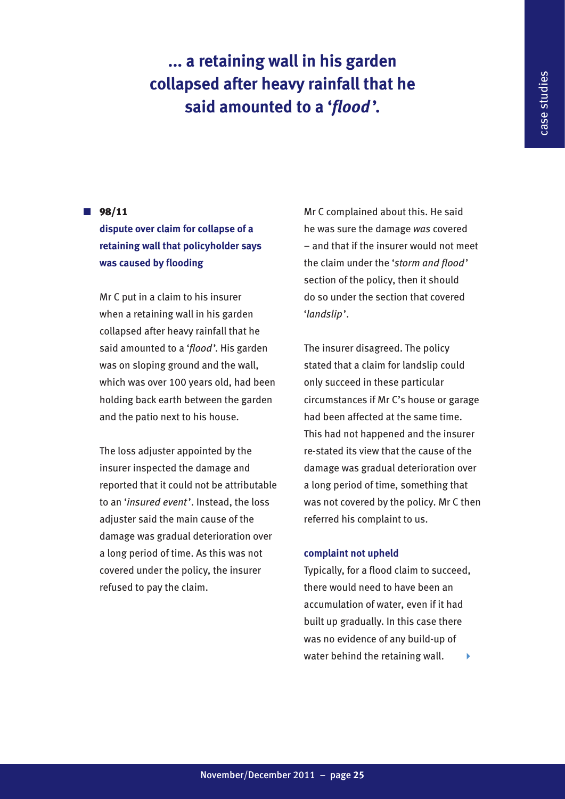### **... a retaining wall in his garden collapsed after heavy rainfall that he said amounted to a '***flood* **'.**

### **n**  $98/11$

### **dispute over claim for collapse of a retaining wall that policyholder says was caused by flooding**

Mr C put in a claim to his insurer when a retaining wall in his garden collapsed after heavy rainfall that he said amounted to a '*flood*'. His garden was on sloping ground and the wall, which was over 100 years old, had been holding back earth between the garden and the patio next to his house.

The loss adjuster appointed by the insurer inspected the damage and reported that it could not be attributable to an '*insured event* '. Instead, the loss adjuster said the main cause of the damage was gradual deterioration over a long period of time. As this was not covered under the policy, the insurer refused to pay the claim.

Mr C complained about this. He said he was sure the damage *was* covered – and that if the insurer would not meet the claim under the '*storm and flood*' section of the policy, then it should do so under the section that covered '*landslip*'.

The insurer disagreed. The policy stated that a claim for landslip could only succeed in these particular circumstances if Mr C's house or garage had been affected at the same time. This had not happened and the insurer re-stated its view that the cause of the damage was gradual deterioration over a long period of time, something that was not covered by the policy. Mr C then referred his complaint to us.

### **complaint not upheld**

Typically, for a flood claim to succeed, there would need to have been an accumulation of water, even if it had built up gradually. In this case there was no evidence of any build-up of water behind the retaining wall.  $\longrightarrow$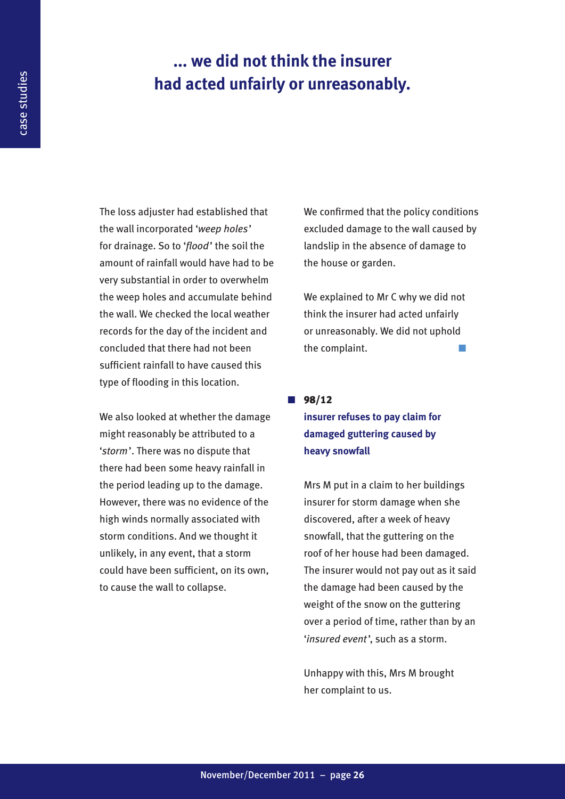### **... we did not think the insurer had acted unfairly or unreasonably.**

The loss adjuster had established that the wall incorporated '*weep holes*' for drainage. So to '*flood*' the soil the amount of rainfall would have had to be very substantial in order to overwhelm the weep holes and accumulate behind the wall. We checked the local weather records for the day of the incident and concluded that there had not been sufficient rainfall to have caused this type of flooding in this location.

We also looked at whether the damage might reasonably be attributed to a '*storm*'. There was no dispute that there had been some heavy rainfall in the period leading up to the damage. However, there was no evidence of the high winds normally associated with storm conditions. And we thought it unlikely, in any event, that a storm could have been sufficient, on its own, to cause the wall to collapse.

We confirmed that the policy conditions excluded damage to the wall caused by landslip in the absence of damage to the house or garden.

We explained to Mr C why we did not think the insurer had acted unfairly or unreasonably. We did not uphold the complaint.

 $98/12$ 

### **insurer refuses to pay claim for damaged guttering caused by heavy snowfall**

Mrs M put in a claim to her buildings insurer for storm damage when she discovered, after a week of heavy snowfall, that the guttering on the roof of her house had been damaged. The insurer would not pay out as it said the damage had been caused by the weight of the snow on the guttering over a period of time, rather than by an '*insured event*', such as a storm.

Unhappy with this, Mrs M brought her complaint to us.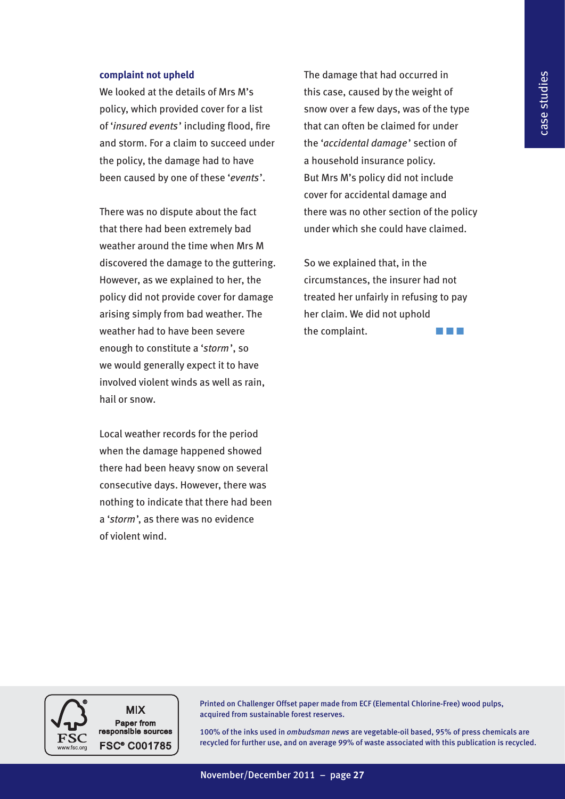### **complaint not upheld**

We looked at the details of Mrs M's policy, which provided cover for a list of '*insured events*' including flood, fire and storm. For a claim to succeed under the policy, the damage had to have been caused by one of these '*events*'.

There was no dispute about the fact that there had been extremely bad weather around the time when Mrs M discovered the damage to the guttering. However, as we explained to her, the policy did not provide cover for damage arising simply from bad weather. The weather had to have been severe enough to constitute a '*storm*', so we would generally expect it to have involved violent winds as well as rain, hail or snow.

Local weather records for the period when the damage happened showed there had been heavy snow on several consecutive days. However, there was nothing to indicate that there had been a '*storm*', as there was no evidence of violent wind.

The damage that had occurred in this case, caused by the weight of snow over a few days, was of the type that can often be claimed for under the '*accidental damage*' section of a household insurance policy. But Mrs M's policy did not include cover for accidental damage and there was no other section of the policy under which she could have claimed.

So we explained that, in the circumstances, the insurer had not treated her unfairly in refusing to pay her claim. We did not uphold the complaint.  $\blacksquare$ 

**MIX** Paper from responsible sources **FSC® C001785** 

Printed on Challenger Offset paper made from ECF (Elemental Chlorine-Free) wood pulps, acquired from sustainable forest reserves.

100% of the inks used in *ombudsman news* are vegetable-oil based, 95% of press chemicals are recycled for further use, and on average 99% of waste associated with this publication is recycled.